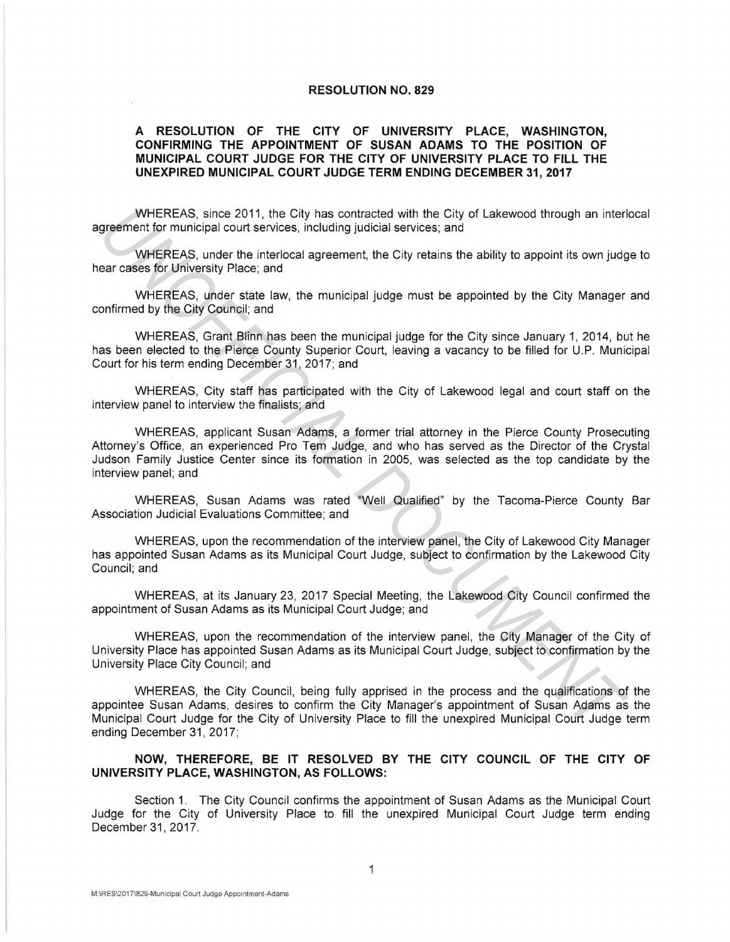## **RESOLUTION NO. 829**

## **A RESOLUTION OF THE CITY OF UNIVERSITY PLACE, WASHINGTON, CONFIRMING THE APPOINTMENT OF SUSAN ADAMS TO THE POSITION OF MUNICIPAL COURT JUDGE FOR THE CITY OF UNIVERSITY PLACE TO FILL THE UNEXPIRED MUNICIPAL COURT JUDGE TERM ENDING DECEMBER 31, 2017**

WHEREAS, since 2011, the City has contracted with the City of Lakewood through an interlocal agreement for municipal court services, including judicial services; and

WHEREAS, under the interlocal agreement, the City retains the ability to appoint its own judge to hear cases for University Place; and

WHEREAS, under state law, the municipal judge must be appointed by the City Manager and confirmed by the City Council; and

WHEREAS, Grant Blinn has been the municipal judge for the City since January 1, 2014, but he has been elected to the Pierce County Superior Court, leaving a vacancy to be filled for U.P. Municipal Court for his term ending December 31, 2017; and

WHEREAS, City staff has participated with the City of Lakewood legal and court staff on the interview panel to interview the finalists; and

WHEREAS, applicant Susan Adams, a former trial attorney in the Pierce County Prosecuting Attorney's Office, an experienced Pro Tem Judge, and who has served as the Director of the Crystal Judson Family Justice Center since its formation in 2005, was selected as the top candidate by the interview panel; and WHEREAS, since 2011, the City are commendation the City of Lakewood through an interlarity metrical structure into the City of Lakewood through an interlarity for the Tomonic of the City relations and while City relations

WHEREAS, Susan Adams was rated "Well Qualified" by the Tacoma-Pierce County Bar Association Judicial Evaluations Committee; and

WHEREAS, upon the recommendation of the interview panel, the City of Lakewood City Manager has appointed Susan Adams as its Municipal Court Judge, subject to confirmation by the Lakewood City Council; and

WHEREAS, at its January 23, 2017 Special Meeting, the Lakewood City Council confirmed the appointment of Susan Adams as its Municipal Court Judge; and

WHEREAS, upon the recommendation of the interview panel, the City Manager of the City of University Place has appointed Susan Adams as its Municipal Court Judge, subject to confirmation by the University Place City Council; and

WHEREAS, the City Council, being fully apprised in the process and the qualifications of the appointee Susan Adams, desires to confirm the City Manager's appointment of Susan Adams as the Municipal Court Judge for the City of University Place to fill the unexpired Municipal Court Judge term ending December 31, 2017;

## **NOW, THEREFORE, BE IT RESOLVED BY THE CITY COUNCIL OF THE CITY OF UNIVERSITY PLACE, WASHINGTON, AS FOLLOWS:**

Section 1. The City Council confirms the appointment of Susan Adams as the Municipal Court Judge for the City of University Place to fill the unexpired Municipal Court Judge term ending December 31, 2017.